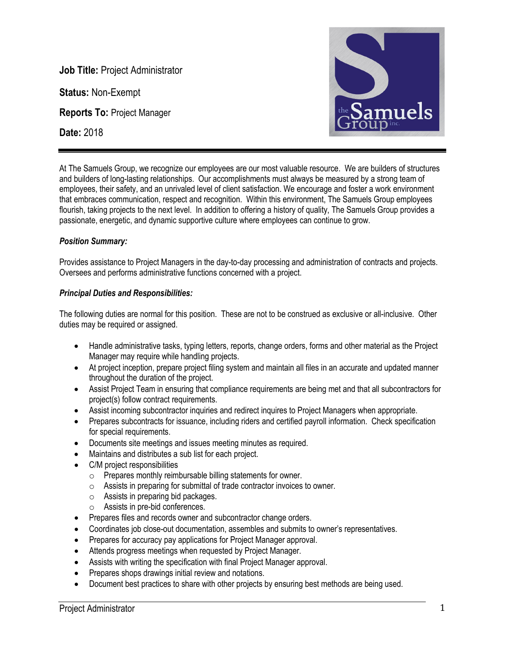**Job Title:** Project Administrator

**Status:** Non-Exempt

**Reports To:** Project Manager

**Date:** 2018



At The Samuels Group, we recognize our employees are our most valuable resource. We are builders of structures and builders of long-lasting relationships. Our accomplishments must always be measured by a strong team of employees, their safety, and an unrivaled level of client satisfaction. We encourage and foster a work environment that embraces communication, respect and recognition. Within this environment, The Samuels Group employees flourish, taking projects to the next level. In addition to offering a history of quality, The Samuels Group provides a passionate, energetic, and dynamic supportive culture where employees can continue to grow.

# *Position Summary:*

Provides assistance to Project Managers in the day-to-day processing and administration of contracts and projects. Oversees and performs administrative functions concerned with a project.

## *Principal Duties and Responsibilities:*

The following duties are normal for this position. These are not to be construed as exclusive or all-inclusive. Other duties may be required or assigned.

- Handle administrative tasks, typing letters, reports, change orders, forms and other material as the Project Manager may require while handling projects.
- At project inception, prepare project filing system and maintain all files in an accurate and updated manner throughout the duration of the project.
- Assist Project Team in ensuring that compliance requirements are being met and that all subcontractors for project(s) follow contract requirements.
- Assist incoming subcontractor inquiries and redirect inquires to Project Managers when appropriate.
- Prepares subcontracts for issuance, including riders and certified payroll information. Check specification for special requirements.
- Documents site meetings and issues meeting minutes as required.
- Maintains and distributes a sub list for each project.
- C/M project responsibilities
	- o Prepares monthly reimbursable billing statements for owner.
	- o Assists in preparing for submittal of trade contractor invoices to owner.
	- o Assists in preparing bid packages.
	- o Assists in pre-bid conferences.
- Prepares files and records owner and subcontractor change orders.
- Coordinates job close-out documentation, assembles and submits to owner's representatives.
- Prepares for accuracy pay applications for Project Manager approval.
- Attends progress meetings when requested by Project Manager.
- Assists with writing the specification with final Project Manager approval.
- Prepares shops drawings initial review and notations.
- Document best practices to share with other projects by ensuring best methods are being used.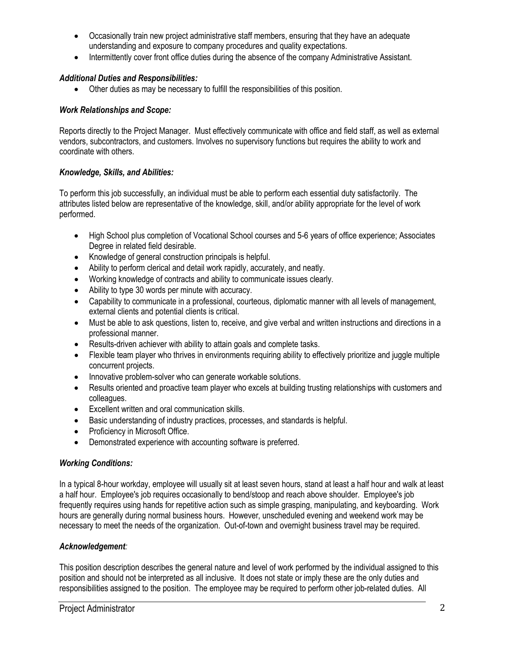- Occasionally train new project administrative staff members, ensuring that they have an adequate understanding and exposure to company procedures and quality expectations.
- Intermittently cover front office duties during the absence of the company Administrative Assistant.

# *Additional Duties and Responsibilities:*

• Other duties as may be necessary to fulfill the responsibilities of this position.

## *Work Relationships and Scope:*

Reports directly to the Project Manager. Must effectively communicate with office and field staff, as well as external vendors, subcontractors, and customers. Involves no supervisory functions but requires the ability to work and coordinate with others.

## *Knowledge, Skills, and Abilities:*

To perform this job successfully, an individual must be able to perform each essential duty satisfactorily. The attributes listed below are representative of the knowledge, skill, and/or ability appropriate for the level of work performed.

- High School plus completion of Vocational School courses and 5-6 years of office experience; Associates Degree in related field desirable.
- Knowledge of general construction principals is helpful.
- Ability to perform clerical and detail work rapidly, accurately, and neatly.
- Working knowledge of contracts and ability to communicate issues clearly.
- Ability to type 30 words per minute with accuracy.
- Capability to communicate in a professional, courteous, diplomatic manner with all levels of management, external clients and potential clients is critical.
- Must be able to ask questions, listen to, receive, and give verbal and written instructions and directions in a professional manner.
- Results-driven achiever with ability to attain goals and complete tasks.
- Flexible team player who thrives in environments requiring ability to effectively prioritize and juggle multiple concurrent projects.
- Innovative problem-solver who can generate workable solutions.
- Results oriented and proactive team player who excels at building trusting relationships with customers and colleagues.
- Excellent written and oral communication skills.
- Basic understanding of industry practices, processes, and standards is helpful.
- Proficiency in Microsoft Office.
- Demonstrated experience with accounting software is preferred.

### *Working Conditions:*

In a typical 8-hour workday, employee will usually sit at least seven hours, stand at least a half hour and walk at least a half hour. Employee's job requires occasionally to bend/stoop and reach above shoulder. Employee's job frequently requires using hands for repetitive action such as simple grasping, manipulating, and keyboarding. Work hours are generally during normal business hours. However, unscheduled evening and weekend work may be necessary to meet the needs of the organization. Out-of-town and overnight business travel may be required.

### *Acknowledgement:*

This position description describes the general nature and level of work performed by the individual assigned to this position and should not be interpreted as all inclusive. It does not state or imply these are the only duties and responsibilities assigned to the position. The employee may be required to perform other job-related duties. All